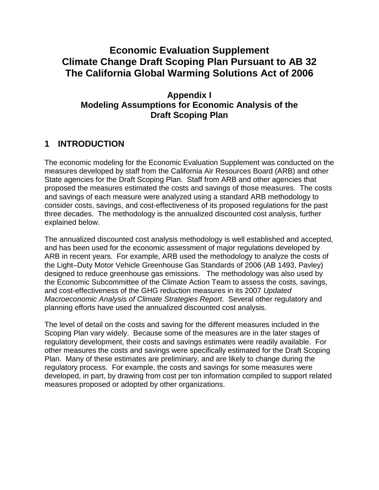# **Climate Change Draft Scoping Plan Pursuant to AB 32 The California Global Warming Solutions Act of 2006 Economic Evaluation Supplement**

## **Appendix I Modeling Assumptions for Economic Analysis of the Draft Scoping Plan**

## **1 INTRODUCTION**

 The economic modeling for the Economic Evaluation Supplement was conducted on the measures developed by staff from the California Air Resources Board (ARB) and other State agencies for the Draft Scoping Plan. Staff from ARB and other agencies that proposed the measures estimated the costs and savings of those measures. The costs and savings of each measure were analyzed using a standard ARB methodology to consider costs, savings, and cost-effectiveness of its proposed regulations for the past three decades. The methodology is the annualized discounted cost analysis, further explained below.

 The annualized discounted cost analysis methodology is well established and accepted, and has been used for the economic assessment of major regulations developed by ARB in recent years. For example, ARB used the methodology to analyze the costs of the Light–Duty Motor Vehicle Greenhouse Gas Standards of 2006 (AB 1493, Pavley) designed to reduce greenhouse gas emissions. The methodology was also used by the Economic Subcommittee of the Climate Action Team to assess the costs, savings, and cost-effectiveness of the GHG reduction measures in its 2007 Updated Macroeconomic Analysis of Climate Strategies Report. Several other regulatory and planning efforts have used the annualized discounted cost analysis.

 The level of detail on the costs and saving for the different measures included in the Scoping Plan vary widely. Because some of the measures are in the later stages of regulatory development, their costs and savings estimates were readily available. For other measures the costs and savings were specifically estimated for the Draft Scoping Plan. Many of these estimates are preliminary, and are likely to change during the regulatory process. For example, the costs and savings for some measures were developed, in part, by drawing from cost per ton information compiled to support related measures proposed or adopted by other organizations.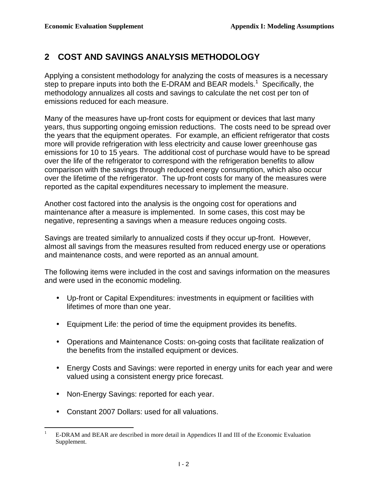## **2 COST AND SAVINGS ANALYSIS METHODOLOGY**

 Applying a consistent methodology for analyzing the costs of measures is a necessary step to prepare inputs into both the E-DRAM and BEAR models.<sup>1</sup> Specifically, the methodology annualizes all costs and savings to calculate the net cost per ton of emissions reduced for each measure.

 Many of the measures have up-front costs for equipment or devices that last many years, thus supporting ongoing emission reductions. The costs need to be spread over the years that the equipment operates. For example, an efficient refrigerator that costs more will provide refrigeration with less electricity and cause lower greenhouse gas emissions for 10 to 15 years. The additional cost of purchase would have to be spread over the life of the refrigerator to correspond with the refrigeration benefits to allow comparison with the savings through reduced energy consumption, which also occur over the lifetime of the refrigerator. The up-front costs for many of the measures were reported as the capital expenditures necessary to implement the measure.

 Another cost factored into the analysis is the ongoing cost for operations and maintenance after a measure is implemented. In some cases, this cost may be negative, representing a savings when a measure reduces ongoing costs.

 Savings are treated similarly to annualized costs if they occur up-front. However, almost all savings from the measures resulted from reduced energy use or operations and maintenance costs, and were reported as an annual amount.

 The following items were included in the cost and savings information on the measures and were used in the economic modeling.

- • Up-front or Capital Expenditures: investments in equipment or facilities with lifetimes of more than one year.
- Equipment Life: the period of time the equipment provides its benefits.
- • Operations and Maintenance Costs: on-going costs that facilitate realization of the benefits from the installed equipment or devices.
- • Energy Costs and Savings: were reported in energy units for each year and were valued using a consistent energy price forecast.
- Non-Energy Savings: reported for each year.
- Constant 2007 Dollars: used for all valuations.

 $\overline{a}$  Supplement. 1 E-DRAM and BEAR are described in more detail in Appendices II and III of the Economic Evaluation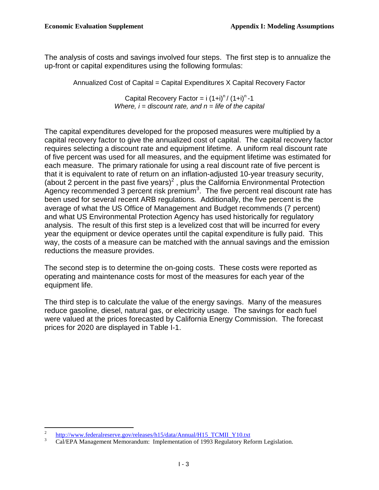The analysis of costs and savings involved four steps. The first step is to annualize the up-front or capital expenditures using the following formulas:

Annualized Cost of Capital = Capital Expenditures X Capital Recovery Factor

Capital Recovery Factor =  $i (1+i)^n / (1+i)^n - 1$ Where,  $i =$  discount rate, and  $n =$  life of the capital

 The capital expenditures developed for the proposed measures were multiplied by a capital recovery factor to give the annualized cost of capital. The capital recovery factor requires selecting a discount rate and equipment lifetime. A uniform real discount rate of five percent was used for all measures, and the equipment lifetime was estimated for each measure. The primary rationale for using a real discount rate of five percent is that it is equivalent to rate of return on an inflation-adjusted 10-year treasury security, (about 2 percent in the past five years)<sup>2</sup>, plus the California Environmental Protection Agency recommended 3 percent risk premium<sup>3</sup>. The five percent real discount rate has been used for several recent ARB regulations. Additionally, the five percent is the average of what the US Office of Management and Budget recommends (7 percent) and what US Environmental Protection Agency has used historically for regulatory analysis. The result of this first step is a levelized cost that will be incurred for every year the equipment or device operates until the capital expenditure is fully paid. This way, the costs of a measure can be matched with the annual savings and the emission reductions the measure provides.

 The second step is to determine the on-going costs. These costs were reported as operating and maintenance costs for most of the measures for each year of the equipment life.

 The third step is to calculate the value of the energy savings. Many of the measures reduce gasoline, diesel, natural gas, or electricity usage. The savings for each fuel were valued at the prices forecasted by California Energy Commission. The forecast prices for 2020 are displayed in Table I-1.

 $\overline{a}$ 

 $\ensuremath{\mathbf{3}}$ [http://www.federalreserve.gov/releases/h15/data/Annual/H15\\_TCMII\\_Y10.txt](http://www.federalreserve.gov/releases/h15/data/Annual/H15_TCMII_Y10.txt) Cal/EPA Management Memorandum: Implementation of 1993 Regulatory Reform Legislation.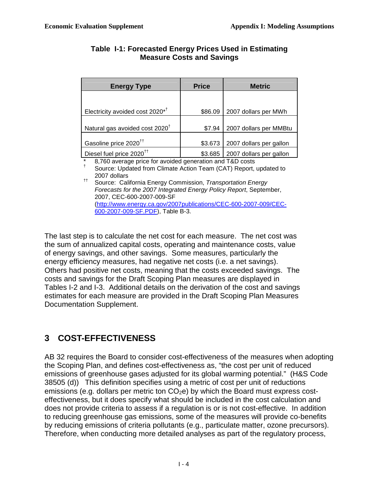| <b>Energy Type</b>                          | <b>Price</b> | <b>Metric</b>           |  |  |
|---------------------------------------------|--------------|-------------------------|--|--|
|                                             |              |                         |  |  |
| Electricity avoided cost 2020 <sup>*†</sup> | \$86.09      | 2007 dollars per MWh    |  |  |
| Natural gas avoided cost 2020 <sup>†</sup>  | \$7.94       | 2007 dollars per MMBtu  |  |  |
| Gasoline price 2020 <sup>tt</sup>           | \$3.673      | 2007 dollars per gallon |  |  |
| Diesel fuel price 2020 <sup>tt</sup>        | \$3.685      | 2007 dollars per gallon |  |  |

#### **Table I-1: Forecasted Energy Prices Used in Estimating Measure Costs and Savings**

 \* † 8,760 average price for avoided generation and T&D costs

 Source: Updated from Climate Action Team (CAT) Report, updated to 2007 dollars

<sup>††</sup> Source: California Energy Commission, Transportation Energy Forecasts for the 2007 Integrated Energy Policy Report, September, 600-2007-009-SF.PDF), Table B-3. 2007, CEC-600-2007-009-SF (http://www.energy.ca.gov/2007publications/CEC-600-2007-009/CEC-

 The last step is to calculate the net cost for each measure. The net cost was the sum of annualized capital costs, operating and maintenance costs, value of energy savings, and other savings. Some measures, particularly the energy efficiency measures, had negative net costs (i.e. a net savings). Others had positive net costs, meaning that the costs exceeded savings. The costs and savings for the Draft Scoping Plan measures are displayed in Tables I-2 and I-3. Additional details on the derivation of the cost and savings estimates for each measure are provided in the Draft Scoping Plan Measures Documentation Supplement.

# **3 COST-EFFECTIVENESS**

 AB 32 requires the Board to consider cost-effectiveness of the measures when adopting the Scoping Plan, and defines cost-effectiveness as, "the cost per unit of reduced emissions of greenhouse gases adjusted for its global warming potential." (H&S Code 38505 (d)) This definition specifies using a metric of cost per unit of reductions emissions (e.g. dollars per metric ton  $CO<sub>2</sub>e$ ) by which the Board must express cost- effectiveness, but it does specify what should be included in the cost calculation and does not provide criteria to assess if a regulation is or is not cost-effective. In addition to reducing greenhouse gas emissions, some of the measures will provide co-benefits by reducing emissions of criteria pollutants (e.g., particulate matter, ozone precursors). Therefore, when conducting more detailed analyses as part of the regulatory process,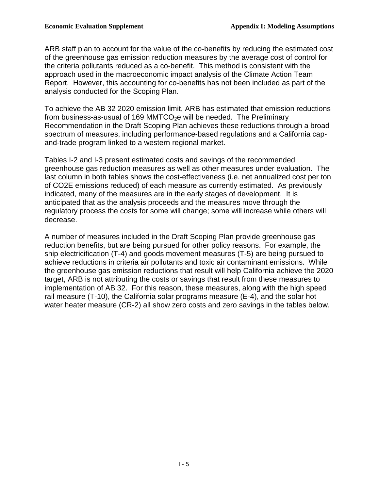ARB staff plan to account for the value of the co-benefits by reducing the estimated cost of the greenhouse gas emission reduction measures by the average cost of control for the criteria pollutants reduced as a co-benefit. This method is consistent with the approach used in the macroeconomic impact analysis of the Climate Action Team Report. However, this accounting for co-benefits has not been included as part of the analysis conducted for the Scoping Plan.

 To achieve the AB 32 2020 emission limit, ARB has estimated that emission reductions from business-as-usual of 169 MMTCO<sub>2</sub>e will be needed. The Preliminary Recommendation in the Draft Scoping Plan achieves these reductions through a broad spectrum of measures, including performance-based regulations and a California cap-and-trade program linked to a western regional market.

 Tables I-2 and I-3 present estimated costs and savings of the recommended greenhouse gas reduction measures as well as other measures under evaluation. The last column in both tables shows the cost-effectiveness (i.e. net annualized cost per ton of CO2E emissions reduced) of each measure as currently estimated. As previously indicated, many of the measures are in the early stages of development. It is anticipated that as the analysis proceeds and the measures move through the regulatory process the costs for some will change; some will increase while others will decrease.

decrease.<br>A number of measures included in the Draft Scoping Plan provide greenhouse gas reduction benefits, but are being pursued for other policy reasons. For example, the ship electricification (T-4) and goods movement measures (T-5) are being pursued to achieve reductions in criteria air pollutants and toxic air contaminant emissions. While the greenhouse gas emission reductions that result will help California achieve the 2020 target, ARB is not attributing the costs or savings that result from these measures to implementation of AB 32. For this reason, these measures, along with the high speed rail measure (T-10), the California solar programs measure (E-4), and the solar hot water heater measure (CR-2) all show zero costs and zero savings in the tables below.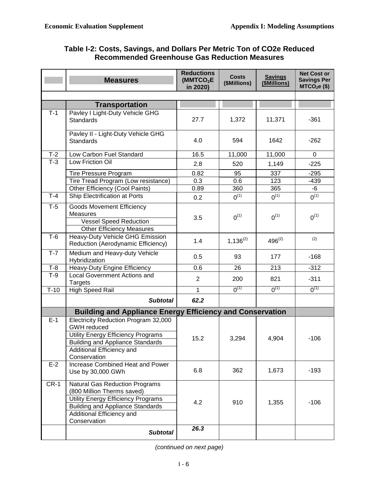### **Table I-2: Costs, Savings, and Dollars Per Metric Ton of CO2e Reduced Recommended Greenhouse Gas Reduction Measures**

|        | <b>Measures</b>                                                                                                                                                                                   | <b>Reductions</b><br>(MMTCO <sub>2</sub> E)<br>in 2020) | <b>Costs</b><br>(\$Millions) | <b>Savings</b><br>(\$Millions) | <b>Net Cost or</b><br><b>Savings Per</b><br>$MTCO2e$ (\$) |
|--------|---------------------------------------------------------------------------------------------------------------------------------------------------------------------------------------------------|---------------------------------------------------------|------------------------------|--------------------------------|-----------------------------------------------------------|
|        |                                                                                                                                                                                                   |                                                         |                              |                                |                                                           |
|        | <b>Transportation</b>                                                                                                                                                                             |                                                         |                              |                                |                                                           |
| $T-1$  | Pavley I Light-Duty Vehicle GHG<br>Standards                                                                                                                                                      | 27.7                                                    | 1,372                        | 11,371                         | $-361$                                                    |
|        | Pavley II - Light-Duty Vehicle GHG<br>Standards                                                                                                                                                   | 4.0                                                     | 594                          | 1642                           | $-262$                                                    |
| $T-2$  | Low Carbon Fuel Standard                                                                                                                                                                          | 16.5                                                    | 11,000                       | 11,000                         | $\mathbf 0$                                               |
| $T-3$  | Low Friction Oil                                                                                                                                                                                  | 2.8                                                     | 520                          | 1,149                          | $-225$                                                    |
|        | <b>Tire Pressure Program</b>                                                                                                                                                                      | 0.82                                                    | 95                           | 337                            | $-295$                                                    |
|        | Tire Tread Program (Low resistance)                                                                                                                                                               | 0.3                                                     | 0.6                          | 123                            | $-439$                                                    |
|        | Other Efficiency (Cool Paints)                                                                                                                                                                    | 0.89                                                    | 360                          | 365                            | -6                                                        |
| $T-4$  | Ship Electrification at Ports                                                                                                                                                                     | 0.2                                                     | $0^{(1)}$                    | $0^{(1)}$                      | $0^{(1)}$                                                 |
| $T-5$  | <b>Goods Movement Efficiency</b><br>Measures<br><b>Vessel Speed Reduction</b><br><b>Other Efficiency Measures</b>                                                                                 | 3.5                                                     | $0^{(1)}$                    | $0^{(1)}$                      | $0^{(1)}$                                                 |
| $T-6$  | <b>Heavy-Duty Vehicle GHG Emission</b><br>Reduction (Aerodynamic Efficiency)                                                                                                                      | 1.4                                                     | $1,136^{(2)}$                | $496^{(2)}$                    | (2)                                                       |
| $T-7$  | Medium and Heavy-duty Vehicle<br>Hybridization                                                                                                                                                    | 0.5                                                     | 93                           | 177                            | $-168$                                                    |
| $T-8$  | Heavy-Duty Engine Efficiency                                                                                                                                                                      | 0.6                                                     | 26                           | 213                            | $-312$                                                    |
| $T-9$  | <b>Local Government Actions and</b><br><b>Targets</b>                                                                                                                                             | $\overline{2}$                                          | 200                          | 821                            | $-311$                                                    |
| $T-10$ | <b>High Speed Rail</b>                                                                                                                                                                            | $\mathbf{1}$                                            | $0^{(1)}$                    | $0^{(1)}$                      | $0^{(1)}$                                                 |
|        | <b>Subtotal</b>                                                                                                                                                                                   | 62.2                                                    |                              |                                |                                                           |
|        | <b>Building and Appliance Energy Efficiency and Conservation</b>                                                                                                                                  |                                                         |                              |                                |                                                           |
| $E-1$  | Electricity Reduction Program 32,000<br><b>GWH</b> reduced<br>Utility Energy Efficiency Programs<br><b>Building and Appliance Standards</b><br>Additional Efficiency and<br>Conservation          | 15.2                                                    | 3,294                        | 4,904                          | $-106$                                                    |
| $E-2$  | Increase Combined Heat and Power<br>Use by 30,000 GWh                                                                                                                                             | 6.8                                                     | 362                          | 1,673                          | $-193$                                                    |
| $CR-1$ | <b>Natural Gas Reduction Programs</b><br>(800 Million Therms saved)<br>Utility Energy Efficiency Programs<br><b>Building and Appliance Standards</b><br>Additional Efficiency and<br>Conservation | 4.2                                                     | 910                          | 1,355                          | $-106$                                                    |
|        | <b>Subtotal</b>                                                                                                                                                                                   | 26.3                                                    |                              |                                |                                                           |

(continued on next page)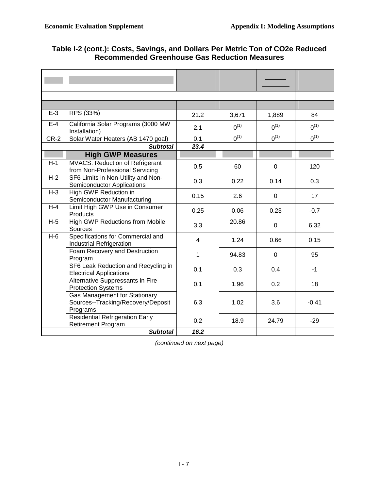| $E-3$  | RPS (33%)                                                                              | 21.2           | 3,671     | 1,889       | 84        |
|--------|----------------------------------------------------------------------------------------|----------------|-----------|-------------|-----------|
| $E-4$  | California Solar Programs (3000 MW<br>Installation)                                    | 2.1            | $0^{(1)}$ | $0^{(1)}$   | $0^{(1)}$ |
| $CR-2$ | Solar Water Heaters (AB 1470 goal)                                                     | 0.1            | $0^{(1)}$ | $0^{(1)}$   | $0^{(1)}$ |
|        | <b>Subtotal</b>                                                                        | 23.4           |           |             |           |
|        | <b>High GWP Measures</b>                                                               |                |           |             |           |
| $H-1$  | <b>MVACS: Reduction of Refrigerant</b><br>from Non-Professional Servicing              | 0.5            | 60        | $\mathbf 0$ | 120       |
| $H-2$  | SF6 Limits in Non-Utility and Non-<br><b>Semiconductor Applications</b>                | 0.3            | 0.22      | 0.14        | 0.3       |
| $H-3$  | High GWP Reduction in<br>Semiconductor Manufacturing                                   | 0.15           | 2.6       | $\Omega$    | 17        |
| $H-4$  | Limit High GWP Use in Consumer<br>Products                                             | 0.25           | 0.06      | 0.23        | $-0.7$    |
| $H-5$  | <b>High GWP Reductions from Mobile</b><br>Sources                                      | 3.3            | 20.86     | $\Omega$    | 6.32      |
| $H-6$  | Specifications for Commercial and<br><b>Industrial Refrigeration</b>                   | $\overline{4}$ | 1.24      | 0.66        | 0.15      |
|        | Foam Recovery and Destruction<br>Program                                               | 1              | 94.83     | $\Omega$    | 95        |
|        | SF6 Leak Reduction and Recycling in<br><b>Electrical Applications</b>                  | 0.1            | 0.3       | 0.4         | $-1$      |
|        | Alternative Suppressants in Fire<br><b>Protection Systems</b>                          | 0.1            | 1.96      | 0.2         | 18        |
|        | <b>Gas Management for Stationary</b><br>Sources--Tracking/Recovery/Deposit<br>Programs | 6.3            | 1.02      | 3.6         | $-0.41$   |
|        | <b>Residential Refrigeration Early</b><br><b>Retirement Program</b>                    | 0.2            | 18.9      | 24.79       | $-29$     |
|        | <b>Subtotal</b>                                                                        | 16.2           |           |             |           |

### **Table I-2 (cont.): Costs, Savings, and Dollars Per Metric Ton of CO2e Reduced Recommended Greenhouse Gas Reduction Measures**

(continued on next page)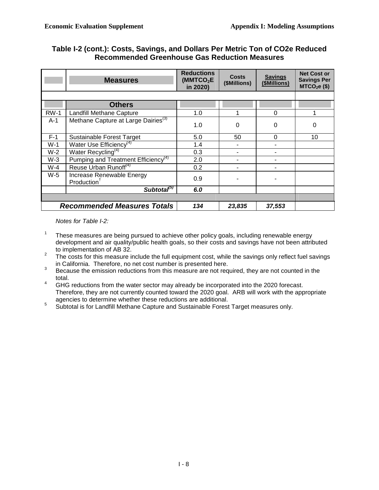### **Table I-2 (cont.): Costs, Savings, and Dollars Per Metric Ton of CO2e Reduced Recommended Greenhouse Gas Reduction Measures**

|        | <b>Measures</b>                                      | <b>Reductions</b><br>(MMTCO <sub>2</sub> E)<br>in 2020) | <b>Costs</b><br>(\$Millions) | <b>Savings</b><br>(\$Millions) | <b>Net Cost or</b><br><b>Savings Per</b><br>$MTCO2e$ (\$) |
|--------|------------------------------------------------------|---------------------------------------------------------|------------------------------|--------------------------------|-----------------------------------------------------------|
|        |                                                      |                                                         |                              |                                |                                                           |
|        | <b>Others</b>                                        |                                                         |                              |                                |                                                           |
| $RW-1$ | Landfill Methane Capture                             | 1.0                                                     |                              | 0                              |                                                           |
| $A-1$  | Methane Capture at Large Dairies <sup>(3)</sup>      | 1.0                                                     | 0                            | 0                              | 0                                                         |
| $F-1$  | Sustainable Forest Target                            | 5.0                                                     | 50                           | 0                              | 10                                                        |
| $W-1$  | Water Use Efficiency <sup>(4)</sup>                  | 1.4                                                     |                              |                                |                                                           |
| $W-2$  | Water Recycling <sup>(4)</sup>                       | 0.3                                                     |                              |                                |                                                           |
| $W-3$  | Pumping and Treatment Efficiency <sup>(4)</sup>      | 2.0                                                     |                              |                                |                                                           |
| $W-4$  | Reuse Urban Runoff <sup>(4)</sup>                    | 0.2                                                     |                              |                                |                                                           |
| $W-5$  | Increase Renewable Energy<br>Production <sup>†</sup> | 0.9                                                     |                              |                                |                                                           |
|        | Subtotal <sup>(5)</sup>                              | 6.0                                                     |                              |                                |                                                           |
|        |                                                      |                                                         |                              |                                |                                                           |
|        | <b>Recommended Measures Totals</b>                   | 134                                                     | 23,835                       | 37,553                         |                                                           |

Notes for Table I-2:

- $\mathbf{1}$  development and air quality/public health goals, so their costs and savings have not been attributed to implementation of AB 32. 1 These measures are being pursued to achieve other policy goals, including renewable energy
- $\overline{2}$ in California. Therefore, no net cost number is presented here. The costs for this measure include the full equipment cost, while the savings only reflect fuel savings
- $\mathbf{3}$ Because the emission reductions from this measure are not required, they are not counted in the total.
- $\overline{4}$  Therefore, they are not currently counted toward the 2020 goal. ARB will work with the appropriate agencies to determine whether these reductions are additional. 4 GHG reductions from the water sector may already be incorporated into the 2020 forecast.
- $\overline{5}$ Subtotal is for Landfill Methane Capture and Sustainable Forest Target measures only.